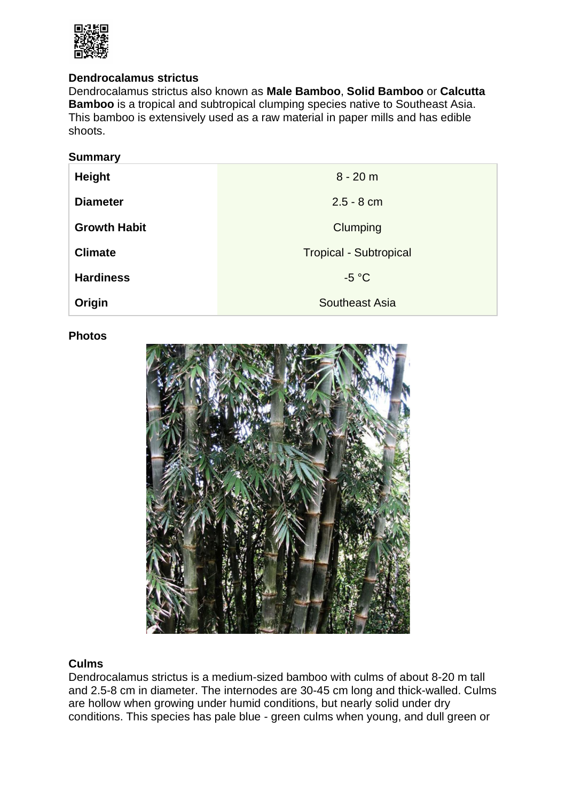

# **Dendrocalamus strictus**

Dendrocalamus strictus also known as **Male Bamboo**, **Solid Bamboo** or **Calcutta Bamboo** is a tropical and subtropical clumping species native to Southeast Asia. This bamboo is extensively used as a raw material in paper mills and has edible shoots.

| <b>Summary</b>      |                               |
|---------------------|-------------------------------|
| <b>Height</b>       | $8 - 20 m$                    |
| <b>Diameter</b>     | $2.5 - 8$ cm                  |
| <b>Growth Habit</b> | Clumping                      |
| <b>Climate</b>      | <b>Tropical - Subtropical</b> |
| <b>Hardiness</b>    | $-5 °C$                       |
| Origin              | Southeast Asia                |

### **Photos**



# **Culms**

Dendrocalamus strictus is a medium-sized bamboo with culms of about 8-20 m tall and 2.5-8 cm in diameter. The internodes are 30-45 cm long and thick-walled. Culms are hollow when growing under humid conditions, but nearly solid under dry conditions. This species has pale blue - green culms when young, and dull green or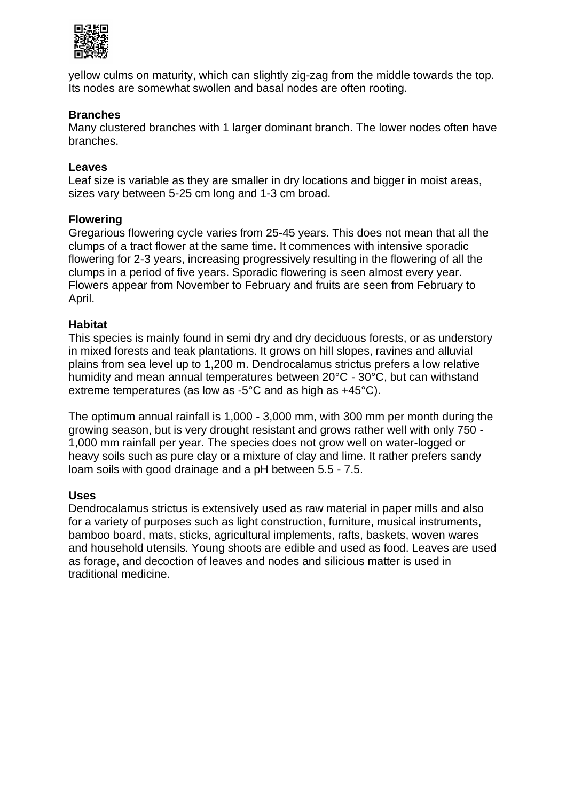

yellow culms on maturity, which can slightly zig-zag from the middle towards the top. Its nodes are somewhat swollen and basal nodes are often rooting.

# **Branches**

Many clustered branches with 1 larger dominant branch. The lower nodes often have branches.

### **Leaves**

Leaf size is variable as they are smaller in dry locations and bigger in moist areas, sizes vary between 5-25 cm long and 1-3 cm broad.

### **Flowering**

Gregarious flowering cycle varies from 25-45 years. This does not mean that all the clumps of a tract flower at the same time. It commences with intensive sporadic flowering for 2-3 years, increasing progressively resulting in the flowering of all the clumps in a period of five years. Sporadic flowering is seen almost every year. Flowers appear from November to February and fruits are seen from February to April.

### **Habitat**

This species is mainly found in semi dry and dry deciduous forests, or as understory in mixed forests and teak plantations. It grows on hill slopes, ravines and alluvial plains from sea level up to 1,200 m. Dendrocalamus strictus prefers a low relative humidity and mean annual temperatures between 20°C - 30°C, but can withstand extreme temperatures (as low as -5°C and as high as +45°C).

The optimum annual rainfall is 1,000 - 3,000 mm, with 300 mm per month during the growing season, but is very drought resistant and grows rather well with only 750 - 1,000 mm rainfall per year. The species does not grow well on water-logged or heavy soils such as pure clay or a mixture of clay and lime. It rather prefers sandy loam soils with good drainage and a pH between 5.5 - 7.5.

#### **Uses**

Dendrocalamus strictus is extensively used as raw material in paper mills and also for a variety of purposes such as light construction, furniture, musical instruments, bamboo board, mats, sticks, agricultural implements, rafts, baskets, woven wares and household utensils. Young shoots are edible and used as food. Leaves are used as forage, and decoction of leaves and nodes and silicious matter is used in traditional medicine.